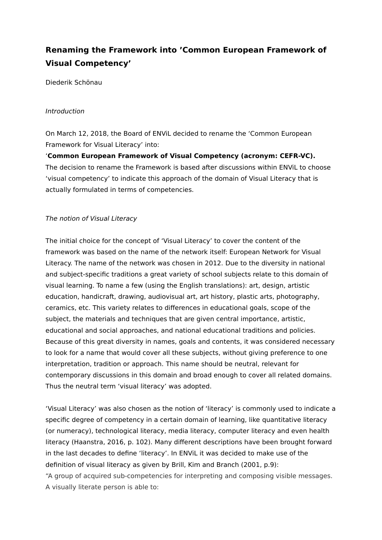# **Renaming the Framework into 'Common European Framework of Visual Competency'**

Diederik Schönau

#### Introduction

On March 12, 2018, the Board of ENViL decided to rename the 'Common European Framework for Visual Literacy' into:

'**Common European Framework of Visual Competency (acronym: CEFR-VC).** The decision to rename the Framework is based after discussions within ENViL to choose 'visual competency' to indicate this approach of the domain of Visual Literacy that is actually formulated in terms of competencies.

## The notion of Visual Literacy

The initial choice for the concept of 'Visual Literacy' to cover the content of the framework was based on the name of the network itself: European Network for Visual Literacy. The name of the network was chosen in 2012. Due to the diversity in national and subject-specific traditions a great variety of school subjects relate to this domain of visual learning. To name a few (using the English translations): art, design, artistic education, handicraft, drawing, audiovisual art, art history, plastic arts, photography, ceramics, etc. This variety relates to differences in educational goals, scope of the subject, the materials and techniques that are given central importance, artistic, educational and social approaches, and national educational traditions and policies. Because of this great diversity in names, goals and contents, it was considered necessary to look for a name that would cover all these subjects, without giving preference to one interpretation, tradition or approach. This name should be neutral, relevant for contemporary discussions in this domain and broad enough to cover all related domains. Thus the neutral term 'visual literacy' was adopted.

'Visual Literacy' was also chosen as the notion of 'literacy' is commonly used to indicate a specific degree of competency in a certain domain of learning, like quantitative literacy (or numeracy), technological literacy, media literacy, computer literacy and even health literacy (Haanstra, 2016, p. 102). Many different descriptions have been brought forward in the last decades to define 'literacy'. In ENViL it was decided to make use of the definition of visual literacy as given by Brill, Kim and Branch (2001, p.9): "A group of acquired sub-competencies for interpreting and composing visible messages. A visually literate person is able to: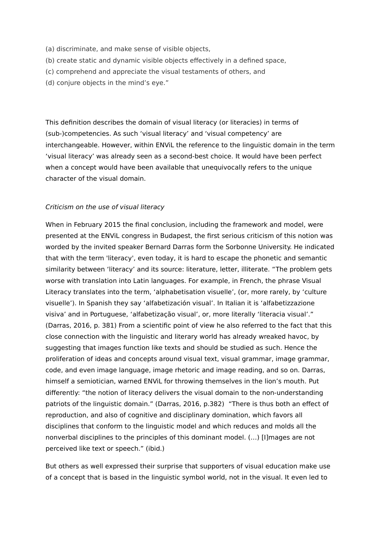- (a) discriminate, and make sense of visible objects,
- (b) create static and dynamic visible objects effectively in a defined space,
- (c) comprehend and appreciate the visual testaments of others, and
- (d) conjure objects in the mind's eye."

This definition describes the domain of visual literacy (or literacies) in terms of (sub-)competencies. As such 'visual literacy' and 'visual competency' are interchangeable. However, within ENViL the reference to the linguistic domain in the term 'visual literacy' was already seen as a second-best choice. It would have been perfect when a concept would have been available that unequivocally refers to the unique character of the visual domain.

#### Criticism on the use of visual literacy

When in February 2015 the final conclusion, including the framework and model, were presented at the ENViL congress in Budapest, the first serious criticism of this notion was worded by the invited speaker Bernard Darras form the Sorbonne University. He indicated that with the term 'literacy', even today, it is hard to escape the phonetic and semantic similarity between 'literacy' and its source: literature, letter, illiterate. "The problem gets worse with translation into Latin languages. For example, in French, the phrase Visual Literacy translates into the term, 'alphabetisation visuelle', (or, more rarely, by 'culture visuelle'). In Spanish they say 'alfabetización visual'. In Italian it is 'alfabetizzazione visiva' and in Portuguese, 'alfabetização visual', or, more literally 'literacia visual'." (Darras, 2016, p. 381) From a scientific point of view he also referred to the fact that this close connection with the linguistic and literary world has already wreaked havoc, by suggesting that images function like texts and should be studied as such. Hence the proliferation of ideas and concepts around visual text, visual grammar, image grammar, code, and even image language, image rhetoric and image reading, and so on. Darras, himself a semiotician, warned ENViL for throwing themselves in the lion's mouth. Put differently: "the notion of literacy delivers the visual domain to the non-understanding patriots of the linguistic domain." (Darras, 2016, p.382) "There is thus both an effect of reproduction, and also of cognitive and disciplinary domination, which favors all disciplines that conform to the linguistic model and which reduces and molds all the nonverbal disciplines to the principles of this dominant model. (…) [I]mages are not perceived like text or speech." (ibid.)

But others as well expressed their surprise that supporters of visual education make use of a concept that is based in the linguistic symbol world, not in the visual. It even led to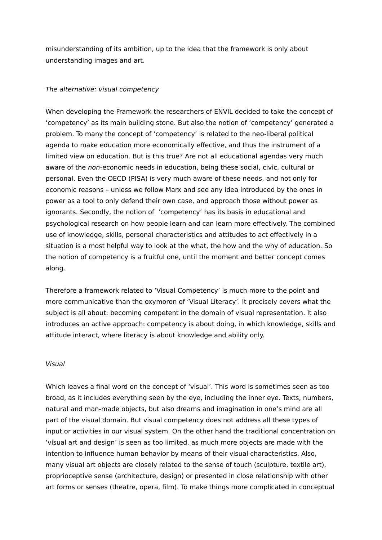misunderstanding of its ambition, up to the idea that the framework is only about understanding images and art.

#### The alternative: visual competency

When developing the Framework the researchers of ENVIL decided to take the concept of 'competency' as its main building stone. But also the notion of 'competency' generated a problem. To many the concept of 'competency' is related to the neo-liberal political agenda to make education more economically effective, and thus the instrument of a limited view on education. But is this true? Are not all educational agendas very much aware of the non-economic needs in education, being these social, civic, cultural or personal. Even the OECD (PISA) is very much aware of these needs, and not only for economic reasons – unless we follow Marx and see any idea introduced by the ones in power as a tool to only defend their own case, and approach those without power as ignorants. Secondly, the notion of 'competency' has its basis in educational and psychological research on how people learn and can learn more effectively. The combined use of knowledge, skills, personal characteristics and attitudes to act effectively in a situation is a most helpful way to look at the what, the how and the why of education. So the notion of competency is a fruitful one, until the moment and better concept comes along.

Therefore a framework related to 'Visual Competency' is much more to the point and more communicative than the oxymoron of 'Visual Literacy'. It precisely covers what the subject is all about: becoming competent in the domain of visual representation. It also introduces an active approach: competency is about doing, in which knowledge, skills and attitude interact, where literacy is about knowledge and ability only.

#### Visual

Which leaves a final word on the concept of 'visual'. This word is sometimes seen as too broad, as it includes everything seen by the eye, including the inner eye. Texts, numbers, natural and man-made objects, but also dreams and imagination in one's mind are all part of the visual domain. But visual competency does not address all these types of input or activities in our visual system. On the other hand the traditional concentration on 'visual art and design' is seen as too limited, as much more objects are made with the intention to influence human behavior by means of their visual characteristics. Also, many visual art objects are closely related to the sense of touch (sculpture, textile art), proprioceptive sense (architecture, design) or presented in close relationship with other art forms or senses (theatre, opera, film). To make things more complicated in conceptual